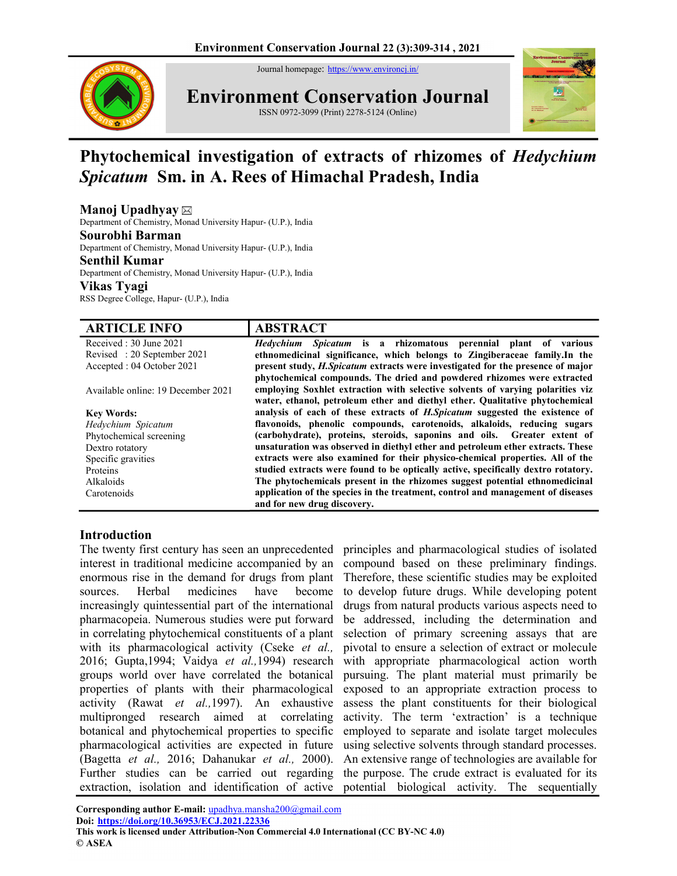Journal homepage: https://www.environcj.in/



Environment Conservation Journal ISSN 0972-3099 (Print) 2278-5124 (Online)



# Phytochemical investigation of extracts of rhizomes of Hedychium Spicatum Sm. in A. Rees of Himachal Pradesh, India

# Manoj Upadhyay

Department of Chemistry, Monad University Hapur- (U.P.), India

### Sourobhi Barman

Department of Chemistry, Monad University Hapur- (U.P.), India

### Senthil Kumar

Department of Chemistry, Monad University Hapur- (U.P.), India Vikas Tyagi

RSS Degree College, Hapur- (U.P.), India

| <b>ARTICLE INFO</b>                | <b>ABSTRACT</b>                                                                       |  |  |  |  |
|------------------------------------|---------------------------------------------------------------------------------------|--|--|--|--|
| Received: 30 June 2021             | <i>Hedychium Spicatum</i> is a rhizomatous perennial plant of various                 |  |  |  |  |
| Revised: 20 September 2021         | ethnomedicinal significance, which belongs to Zingiberaceae family. In the            |  |  |  |  |
| Accepted : 04 October 2021         | present study, <i>H.Spicatum</i> extracts were investigated for the presence of major |  |  |  |  |
|                                    | phytochemical compounds. The dried and powdered rhizomes were extracted               |  |  |  |  |
| Available online: 19 December 2021 | employing Soxhlet extraction with selective solvents of varying polarities viz        |  |  |  |  |
|                                    | water, ethanol, petroleum ether and diethyl ether. Qualitative phytochemical          |  |  |  |  |
| <b>Key Words:</b>                  | analysis of each of these extracts of <i>H.Spicatum</i> suggested the existence of    |  |  |  |  |
| Hedychium Spicatum                 | flavonoids, phenolic compounds, carotenoids, alkaloids, reducing sugars               |  |  |  |  |
| Phytochemical screening            | (carbohydrate), proteins, steroids, saponins and oils. Greater extent of              |  |  |  |  |
| Dextro rotatory                    | unsaturation was observed in diethyl ether and petroleum ether extracts. These        |  |  |  |  |
| Specific gravities                 | extracts were also examined for their physico-chemical properties. All of the         |  |  |  |  |
| Proteins                           | studied extracts were found to be optically active, specifically dextro rotatory.     |  |  |  |  |
| Alkaloids                          | The phytochemicals present in the rhizomes suggest potential ethnomedicinal           |  |  |  |  |
| Carotenoids                        | application of the species in the treatment, control and management of diseases       |  |  |  |  |
|                                    | and for new drug discovery.                                                           |  |  |  |  |

## Introduction

The twenty first century has seen an unprecedented principles and pharmacological studies of isolated interest in traditional medicine accompanied by an enormous rise in the demand for drugs from plant sources. Herbal medicines have become increasingly quintessential part of the international pharmacopeia. Numerous studies were put forward in correlating phytochemical constituents of a plant with its pharmacological activity (Cseke et al., 2016; Gupta,1994; Vaidya et al.,1994) research groups world over have correlated the botanical properties of plants with their pharmacological activity (Rawat et al.,1997). An exhaustive multipronged research aimed at correlating botanical and phytochemical properties to specific pharmacological activities are expected in future (Bagetta et al., 2016; Dahanukar et al., 2000). Further studies can be carried out regarding extraction, isolation and identification of active potential biological activity. The sequentially

compound based on these preliminary findings. Therefore, these scientific studies may be exploited to develop future drugs. While developing potent drugs from natural products various aspects need to be addressed, including the determination and selection of primary screening assays that are pivotal to ensure a selection of extract or molecule with appropriate pharmacological action worth pursuing. The plant material must primarily be exposed to an appropriate extraction process to assess the plant constituents for their biological activity. The term 'extraction' is a technique employed to separate and isolate target molecules using selective solvents through standard processes. An extensive range of technologies are available for the purpose. The crude extract is evaluated for its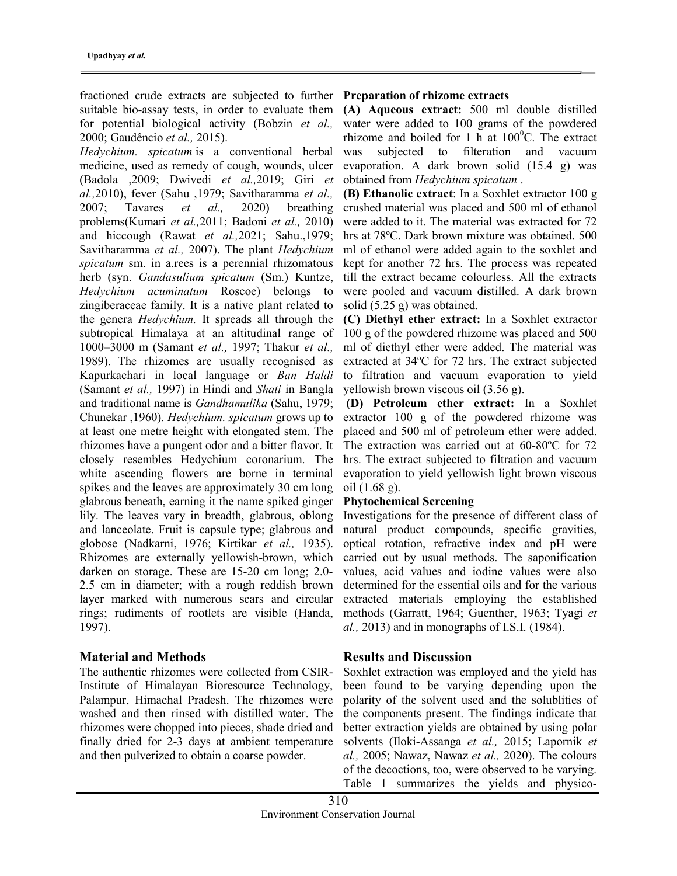fractioned crude extracts are subjected to further Preparation of rhizome extracts for potential biological activity (Bobzin et al., 2000; Gaudêncio et al., 2015).

Hedychium. spicatum is a conventional herbal medicine, used as remedy of cough, wounds, ulcer (Badola ,2009; Dwivedi et al.,2019; Giri et al.,2010), fever (Sahu ,1979; Savitharamma et al., 2007; Tavares et al., 2020) breathing problems(Kumari et al.,2011; Badoni et al., 2010) and hiccough (Rawat et al.,2021; Sahu.,1979; Savitharamma et al., 2007). The plant Hedychium spicatum sm. in a.rees is a perennial rhizomatous herb (syn. Gandasulium spicatum (Sm.) Kuntze, Hedychium acuminatum Roscoe) belongs to zingiberaceae family. It is a native plant related to the genera Hedychium. It spreads all through the subtropical Himalaya at an altitudinal range of 1000–3000 m (Samant et al., 1997; Thakur et al., 1989). The rhizomes are usually recognised as Kapurkachari in local language or Ban Haldi (Samant et al., 1997) in Hindi and Shati in Bangla and traditional name is Gandhamulika (Sahu, 1979; Chunekar ,1960). Hedychium. spicatum grows up to at least one metre height with elongated stem. The rhizomes have a pungent odor and a bitter flavor. It closely resembles Hedychium coronarium. The white ascending flowers are borne in terminal spikes and the leaves are approximately 30 cm long glabrous beneath, earning it the name spiked ginger lily. The leaves vary in breadth, glabrous, oblong and lanceolate. Fruit is capsule type; glabrous and globose (Nadkarni, 1976; Kirtikar et al., 1935). Rhizomes are externally yellowish-brown, which darken on storage. These are 15-20 cm long; 2.0- 2.5 cm in diameter; with a rough reddish brown layer marked with numerous scars and circular rings; rudiments of rootlets are visible (Handa, 1997).

# Material and Methods

The authentic rhizomes were collected from CSIR-Institute of Himalayan Bioresource Technology, Palampur, Himachal Pradesh. The rhizomes were washed and then rinsed with distilled water. The rhizomes were chopped into pieces, shade dried and finally dried for 2-3 days at ambient temperature and then pulverized to obtain a coarse powder.

suitable bio-assay tests, in order to evaluate them (A) Aqueous extract: 500 ml double distilled water were added to 100 grams of the powdered rhizome and boiled for 1 h at  $100^{\circ}$ C. The extract was subjected to filteration and vacuum evaporation. A dark brown solid (15.4 g) was obtained from Hedychium spicatum .

> (B) Ethanolic extract: In a Soxhlet extractor 100 g crushed material was placed and 500 ml of ethanol were added to it. The material was extracted for 72 hrs at 78ºC. Dark brown mixture was obtained. 500 ml of ethanol were added again to the soxhlet and kept for another 72 hrs. The process was repeated till the extract became colourless. All the extracts were pooled and vacuum distilled. A dark brown solid (5.25 g) was obtained.

> (C) Diethyl ether extract: In a Soxhlet extractor 100 g of the powdered rhizome was placed and 500 ml of diethyl ether were added. The material was extracted at 34ºC for 72 hrs. The extract subjected to filtration and vacuum evaporation to yield yellowish brown viscous oil (3.56 g).

> (D) Petroleum ether extract: In a Soxhlet extractor 100 g of the powdered rhizome was placed and 500 ml of petroleum ether were added. The extraction was carried out at 60-80ºC for 72 hrs. The extract subjected to filtration and vacuum evaporation to yield yellowish light brown viscous oil (1.68 g).

## Phytochemical Screening

Investigations for the presence of different class of natural product compounds, specific gravities, optical rotation, refractive index and pH were carried out by usual methods. The saponification values, acid values and iodine values were also determined for the essential oils and for the various extracted materials employing the established methods (Garratt, 1964; Guenther, 1963; Tyagi et  $al., 2013$ ) and in monographs of I.S.I. (1984).

## Results and Discussion

Soxhlet extraction was employed and the yield has been found to be varying depending upon the polarity of the solvent used and the solublities of the components present. The findings indicate that better extraction yields are obtained by using polar solvents (Iloki-Assanga et al., 2015; Lapornik et al., 2005; Nawaz, Nawaz et al., 2020). The colours of the decoctions, too, were observed to be varying. Table 1 summarizes the yields and physico-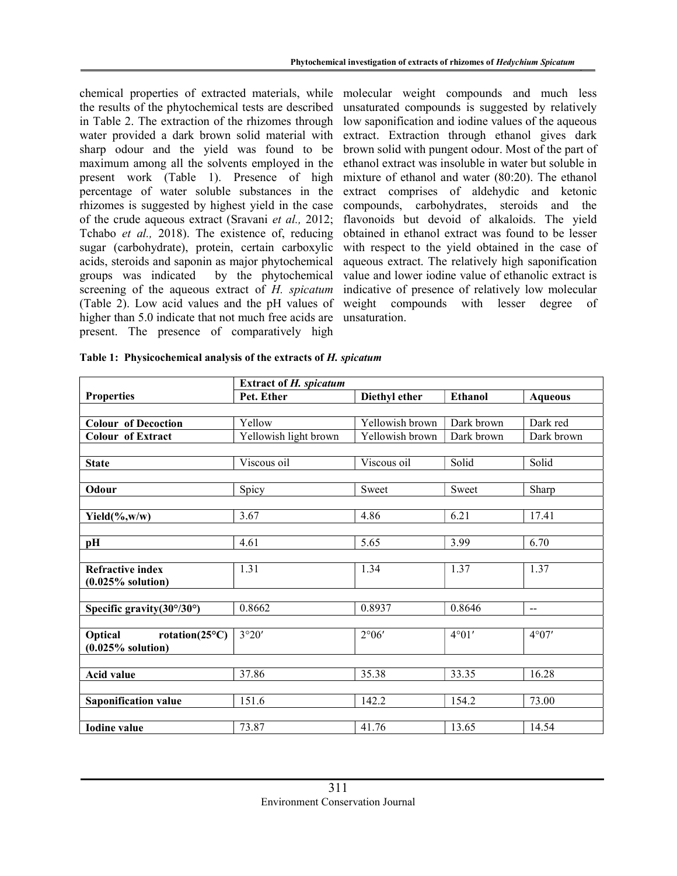chemical properties of extracted materials, while molecular weight compounds and much less the results of the phytochemical tests are described in Table 2. The extraction of the rhizomes through water provided a dark brown solid material with sharp odour and the yield was found to be maximum among all the solvents employed in the present work (Table 1). Presence of high percentage of water soluble substances in the rhizomes is suggested by highest yield in the case of the crude aqueous extract (Sravani et al., 2012; Tchabo et al., 2018). The existence of, reducing sugar (carbohydrate), protein, certain carboxylic acids, steroids and saponin as major phytochemical groups was indicated by the phytochemical screening of the aqueous extract of H. spicatum (Table 2). Low acid values and the pH values of higher than 5.0 indicate that not much free acids are present. The presence of comparatively high

unsaturated compounds is suggested by relatively low saponification and iodine values of the aqueous extract. Extraction through ethanol gives dark brown solid with pungent odour. Most of the part of ethanol extract was insoluble in water but soluble in mixture of ethanol and water (80:20). The ethanol extract comprises of aldehydic and ketonic compounds, carbohydrates, steroids and the flavonoids but devoid of alkaloids. The yield obtained in ethanol extract was found to be lesser with respect to the yield obtained in the case of aqueous extract. The relatively high saponification value and lower iodine value of ethanolic extract is indicative of presence of relatively low molecular weight compounds with lesser degree of unsaturation.

|                                                   | <b>Extract of H. spicatum</b> |                 |                |                |  |
|---------------------------------------------------|-------------------------------|-----------------|----------------|----------------|--|
| <b>Properties</b>                                 | Pet. Ether                    | Diethyl ether   | <b>Ethanol</b> | <b>Aqueous</b> |  |
|                                                   |                               |                 |                |                |  |
| <b>Colour of Decoction</b>                        | Yellow                        | Yellowish brown | Dark brown     | Dark red       |  |
| <b>Colour of Extract</b>                          | Yellowish light brown         | Yellowish brown | Dark brown     | Dark brown     |  |
|                                                   |                               |                 |                |                |  |
| <b>State</b>                                      | Viscous oil                   | Viscous oil     | Solid          | Solid          |  |
|                                                   |                               |                 |                |                |  |
| Odour                                             | Spicy                         | Sweet           | Sweet          | Sharp          |  |
|                                                   |                               |                 |                |                |  |
| Yield $(\%$ ,w/w)                                 | 3.67                          | 4.86            | 6.21           | 17.41          |  |
|                                                   |                               |                 |                |                |  |
| pH                                                | 4.61                          | 5.65            | 3.99           | 6.70           |  |
|                                                   |                               |                 |                |                |  |
| <b>Refractive index</b>                           | 1.31                          | 1.34            | 1.37           | 1.37           |  |
| $(0.025\%$ solution)                              |                               |                 |                |                |  |
|                                                   |                               |                 |                |                |  |
| Specific gravity $(30^{\circ}/30^{\circ})$        | 0.8662                        | 0.8937          | 0.8646         | $-$            |  |
| Optical                                           | 3°20'                         | $2^{\circ}06'$  | $4^{\circ}01'$ | $4^{\circ}07'$ |  |
| rotation( $25^{\circ}$ C)<br>$(0.025\%$ solution) |                               |                 |                |                |  |
|                                                   |                               |                 |                |                |  |
| <b>Acid value</b>                                 | 37.86                         | 35.38           | 33.35          | 16.28          |  |
|                                                   |                               |                 |                |                |  |
| <b>Saponification value</b>                       | 151.6                         | 142.2           | 154.2          | 73.00          |  |
|                                                   |                               |                 |                |                |  |
| <b>Iodine value</b>                               | 73.87                         | 41.76           | 13.65          | 14.54          |  |
|                                                   |                               |                 |                |                |  |

Table 1: Physicochemical analysis of the extracts of H. spicatum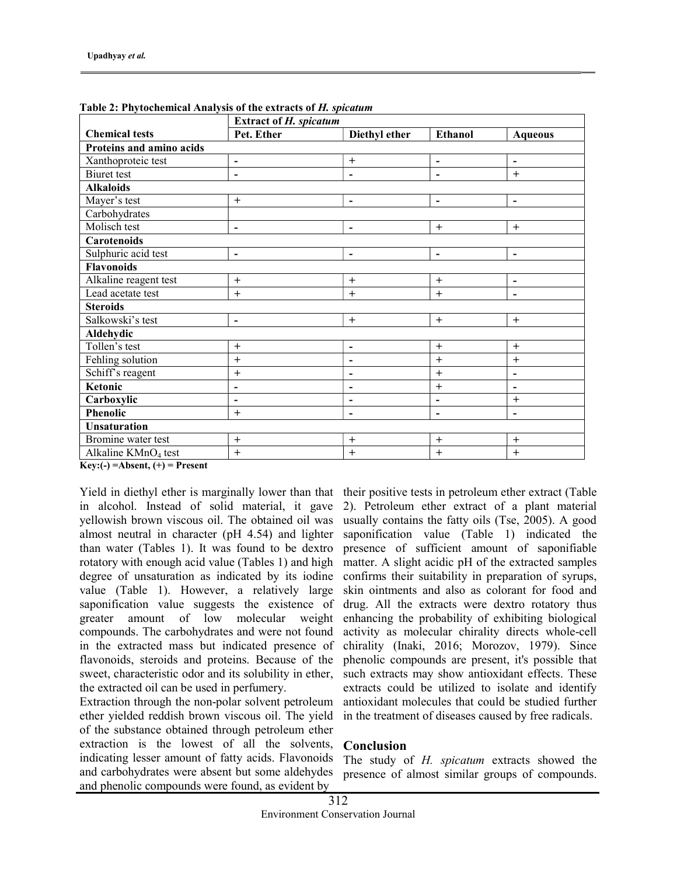|                                 | <b>Extract of H. spicatum</b> |                              |                          |                              |  |  |  |
|---------------------------------|-------------------------------|------------------------------|--------------------------|------------------------------|--|--|--|
| <b>Chemical tests</b>           | Pet. Ether                    | Diethyl ether                | <b>Ethanol</b>           | <b>Aqueous</b>               |  |  |  |
| Proteins and amino acids        |                               |                              |                          |                              |  |  |  |
| Xanthoproteic test              | $\overline{\phantom{a}}$      | $^{+}$                       | $\blacksquare$           | $\overline{\phantom{a}}$     |  |  |  |
| <b>Biuret</b> test              | $\overline{\phantom{0}}$      | $\overline{\phantom{0}}$     | $\overline{\phantom{a}}$ | $+$                          |  |  |  |
| <b>Alkaloids</b>                |                               |                              |                          |                              |  |  |  |
| Mayer's test                    | $+$                           | $\overline{\phantom{a}}$     | $\blacksquare$           | $\overline{\phantom{a}}$     |  |  |  |
| Carbohydrates                   |                               |                              |                          |                              |  |  |  |
| Molisch test                    | $\overline{\phantom{0}}$      | $\blacksquare$               | $+$                      | $+$                          |  |  |  |
| Carotenoids                     |                               |                              |                          |                              |  |  |  |
| Sulphuric acid test             | $\overline{\phantom{a}}$      | $\blacksquare$               | $\blacksquare$           | $\overline{\phantom{a}}$     |  |  |  |
| <b>Flavonoids</b>               |                               |                              |                          |                              |  |  |  |
| Alkaline reagent test           | $+$                           | $^{+}$                       | $+$                      | $\qquad \qquad \blacksquare$ |  |  |  |
| Lead acetate test               | $+$                           | $+$                          | $+$                      | $\overline{\phantom{0}}$     |  |  |  |
| <b>Steroids</b>                 |                               |                              |                          |                              |  |  |  |
| Salkowski's test                | $\blacksquare$                | $+$                          | $+$                      | $+$                          |  |  |  |
| Aldehydic                       |                               |                              |                          |                              |  |  |  |
| Tollen's test                   | $+$                           | $\blacksquare$               | $^{+}$                   | $^{+}$                       |  |  |  |
| Fehling solution                | $+$                           | $\overline{\phantom{0}}$     | $+$                      | $\ddot{}$                    |  |  |  |
| Schiff's reagent                | $+$                           | $\qquad \qquad \blacksquare$ | $+$                      | $\blacksquare$               |  |  |  |
| Ketonic                         | -                             | $\qquad \qquad \blacksquare$ | $^{+}$                   | $\qquad \qquad \blacksquare$ |  |  |  |
| Carboxylic                      | ۰                             | $\qquad \qquad \blacksquare$ | $\blacksquare$           | $+$                          |  |  |  |
| <b>Phenolic</b>                 | $+$                           | $\overline{\phantom{a}}$     | $\overline{\phantom{a}}$ | $\blacksquare$               |  |  |  |
| <b>Unsaturation</b>             |                               |                              |                          |                              |  |  |  |
| Bromine water test              | $+$                           | $^{+}$                       | $^{+}$                   | $^{+}$                       |  |  |  |
| Alkaline KMnO <sub>4</sub> test | $+$                           | $+$                          | $^{+}$                   | $\ddot{}$                    |  |  |  |

Table 2: Phytochemical Analysis of the extracts of H. spicatum

 $Key: (-) = Absent, (+) = Present$ 

Yield in diethyl ether is marginally lower than that in alcohol. Instead of solid material, it gave yellowish brown viscous oil. The obtained oil was almost neutral in character (pH 4.54) and lighter than water (Tables 1). It was found to be dextro rotatory with enough acid value (Tables 1) and high degree of unsaturation as indicated by its iodine value (Table 1). However, a relatively large saponification value suggests the existence of greater amount of low molecular weight compounds. The carbohydrates and were not found in the extracted mass but indicated presence of flavonoids, steroids and proteins. Because of the sweet, characteristic odor and its solubility in ether, the extracted oil can be used in perfumery.

Extraction through the non-polar solvent petroleum ether yielded reddish brown viscous oil. The yield of the substance obtained through petroleum ether extraction is the lowest of all the solvents, indicating lesser amount of fatty acids. Flavonoids and carbohydrates were absent but some aldehydes and phenolic compounds were found, as evident by

their positive tests in petroleum ether extract (Table 2). Petroleum ether extract of a plant material usually contains the fatty oils (Tse, 2005). A good saponification value (Table 1) indicated the presence of sufficient amount of saponifiable matter. A slight acidic pH of the extracted samples confirms their suitability in preparation of syrups, skin ointments and also as colorant for food and drug. All the extracts were dextro rotatory thus enhancing the probability of exhibiting biological activity as molecular chirality directs whole-cell chirality (Inaki, 2016; Morozov, 1979). Since phenolic compounds are present, it's possible that such extracts may show antioxidant effects. These extracts could be utilized to isolate and identify antioxidant molecules that could be studied further in the treatment of diseases caused by free radicals.

# Conclusion

The study of H. spicatum extracts showed the presence of almost similar groups of compounds.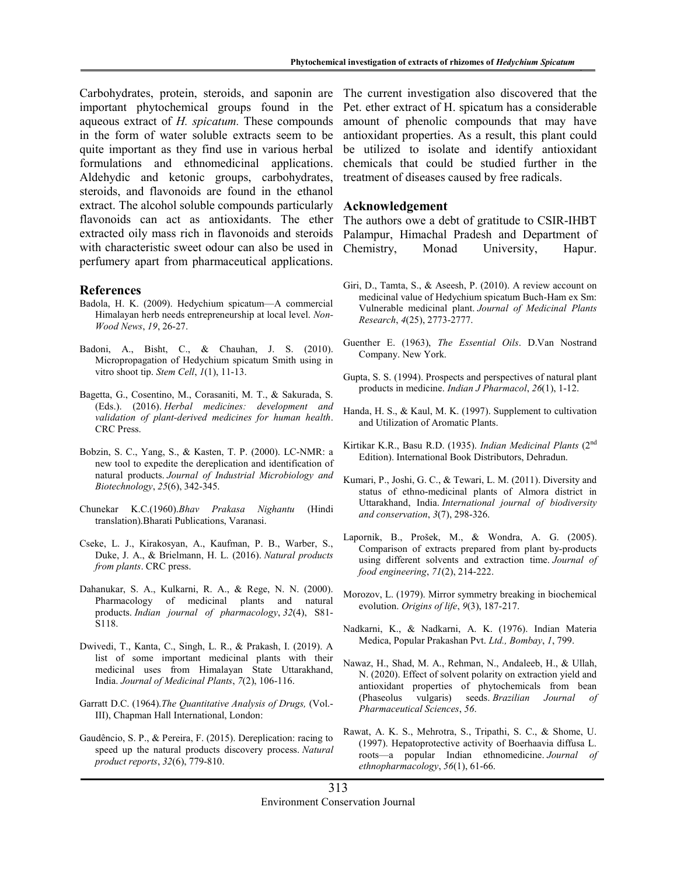Carbohydrates, protein, steroids, and saponin are important phytochemical groups found in the aqueous extract of H. spicatum. These compounds in the form of water soluble extracts seem to be quite important as they find use in various herbal formulations and ethnomedicinal applications. Aldehydic and ketonic groups, carbohydrates, steroids, and flavonoids are found in the ethanol extract. The alcohol soluble compounds particularly flavonoids can act as antioxidants. The ether extracted oily mass rich in flavonoids and steroids with characteristic sweet odour can also be used in perfumery apart from pharmaceutical applications.

### References

- Badola, H. K. (2009). Hedychium spicatum—A commercial Himalayan herb needs entrepreneurship at local level. Non-Wood News, 19, 26-27.
- Badoni, A., Bisht, C., & Chauhan, J. S. (2010). Micropropagation of Hedychium spicatum Smith using in vitro shoot tip. Stem Cell,  $I(1)$ , 11-13.
- Bagetta, G., Cosentino, M., Corasaniti, M. T., & Sakurada, S. (Eds.). (2016). Herbal medicines: development and validation of plant-derived medicines for human health. CRC Press.
- Bobzin, S. C., Yang, S., & Kasten, T. P. (2000). LC-NMR: a new tool to expedite the dereplication and identification of natural products. Journal of Industrial Microbiology and Biotechnology, 25(6), 342-345.
- Chunekar K.C.(1960).Bhav Prakasa Nighantu (Hindi translation).Bharati Publications, Varanasi.
- Cseke, L. J., Kirakosyan, A., Kaufman, P. B., Warber, S., Duke, J. A., & Brielmann, H. L. (2016). Natural products from plants. CRC press.
- Dahanukar, S. A., Kulkarni, R. A., & Rege, N. N. (2000). Pharmacology of medicinal plants and natural products. Indian journal of pharmacology, 32(4), S81- S118.
- Dwivedi, T., Kanta, C., Singh, L. R., & Prakash, I. (2019). A list of some important medicinal plants with their medicinal uses from Himalayan State Uttarakhand, India. Journal of Medicinal Plants, 7(2), 106-116.
- Garratt D.C. (1964).The Quantitative Analysis of Drugs, (Vol.- III), Chapman Hall International, London:
- Gaudêncio, S. P., & Pereira, F. (2015). Dereplication: racing to speed up the natural products discovery process. Natural product reports, 32(6), 779-810.

The current investigation also discovered that the Pet. ether extract of H. spicatum has a considerable amount of phenolic compounds that may have antioxidant properties. As a result, this plant could be utilized to isolate and identify antioxidant chemicals that could be studied further in the treatment of diseases caused by free radicals.

### Acknowledgement

The authors owe a debt of gratitude to CSIR-IHBT Palampur, Himachal Pradesh and Department of Chemistry, Monad University, Hapur.

- Giri, D., Tamta, S., & Aseesh, P. (2010). A review account on medicinal value of Hedychium spicatum Buch-Ham ex Sm: Vulnerable medicinal plant. Journal of Medicinal Plants Research, 4(25), 2773-2777.
- Guenther E. (1963), The Essential Oils. D.Van Nostrand Company. New York.
- Gupta, S. S. (1994). Prospects and perspectives of natural plant products in medicine. Indian J Pharmacol, 26(1), 1-12.
- Handa, H. S., & Kaul, M. K. (1997). Supplement to cultivation and Utilization of Aromatic Plants.
- Kirtikar K.R., Basu R.D. (1935). Indian Medicinal Plants (2<sup>nd</sup> Edition). International Book Distributors, Dehradun.
- Kumari, P., Joshi, G. C., & Tewari, L. M. (2011). Diversity and status of ethno-medicinal plants of Almora district in Uttarakhand, India. International journal of biodiversity and conservation, 3(7), 298-326.
- Lapornik, B., Prošek, M., & Wondra, A. G. (2005). Comparison of extracts prepared from plant by-products using different solvents and extraction time. Journal of food engineering, 71(2), 214-222.
- Morozov, L. (1979). Mirror symmetry breaking in biochemical evolution. Origins of life, 9(3), 187-217.
- Nadkarni, K., & Nadkarni, A. K. (1976). Indian Materia Medica, Popular Prakashan Pvt. Ltd., Bombay, 1, 799.
- Nawaz, H., Shad, M. A., Rehman, N., Andaleeb, H., & Ullah, N. (2020). Effect of solvent polarity on extraction yield and antioxidant properties of phytochemicals from bean (Phaseolus vulgaris) seeds. Brazilian Journal of Pharmaceutical Sciences, 56.
- Rawat, A. K. S., Mehrotra, S., Tripathi, S. C., & Shome, U. (1997). Hepatoprotective activity of Boerhaavia diffusa L. roots—a popular Indian ethnomedicine. Journal of ethnopharmacology, 56(1), 61-66.